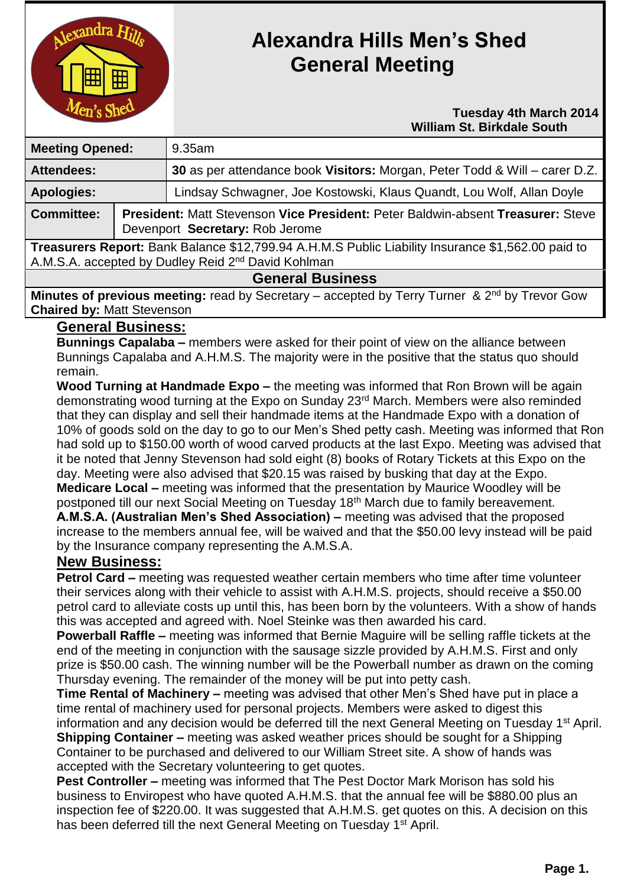

# **Alexandra Hills Men's Shed General Meeting**

#### **Tuesday 4th March 2014 William St. Birkdale South**

| <b>Meeting Opened:</b>                                                                            |  | 9.35am                                                                                                             |  |
|---------------------------------------------------------------------------------------------------|--|--------------------------------------------------------------------------------------------------------------------|--|
| <b>Attendees:</b>                                                                                 |  | 30 as per attendance book Visitors: Morgan, Peter Todd & Will – carer D.Z.                                         |  |
| <b>Apologies:</b>                                                                                 |  | Lindsay Schwagner, Joe Kostowski, Klaus Quandt, Lou Wolf, Allan Doyle                                              |  |
| <b>Committee:</b>                                                                                 |  | President: Matt Stevenson Vice President: Peter Baldwin-absent Treasurer: Steve<br>Devenport Secretary: Rob Jerome |  |
| Treasurers Report: Bank Balance \$12,799.94 A.H.M.S Public Liability Insurance \$1,562.00 paid to |  |                                                                                                                    |  |
| A.M.S.A. accepted by Dudley Reid 2 <sup>nd</sup> David Kohlman                                    |  |                                                                                                                    |  |

#### **General Business**

**Minutes of previous meeting:** read by Secretary – accepted by Terry Turner & 2<sup>nd</sup> by Trevor Gow **Chaired by:** Matt Stevenson

## **General Business:**

**Bunnings Capalaba –** members were asked for their point of view on the alliance between Bunnings Capalaba and A.H.M.S. The majority were in the positive that the status quo should remain.

**Wood Turning at Handmade Expo –** the meeting was informed that Ron Brown will be again demonstrating wood turning at the Expo on Sunday 23<sup>rd</sup> March. Members were also reminded that they can display and sell their handmade items at the Handmade Expo with a donation of 10% of goods sold on the day to go to our Men's Shed petty cash. Meeting was informed that Ron had sold up to \$150.00 worth of wood carved products at the last Expo. Meeting was advised that it be noted that Jenny Stevenson had sold eight (8) books of Rotary Tickets at this Expo on the day. Meeting were also advised that \$20.15 was raised by busking that day at the Expo. **Medicare Local –** meeting was informed that the presentation by Maurice Woodley will be postponed till our next Social Meeting on Tuesday 18<sup>th</sup> March due to family bereavement. **A.M.S.A. (Australian Men's Shed Association) –** meeting was advised that the proposed increase to the members annual fee, will be waived and that the \$50.00 levy instead will be paid by the Insurance company representing the A.M.S.A.

## **New Business:**

**Petrol Card –** meeting was requested weather certain members who time after time volunteer their services along with their vehicle to assist with A.H.M.S. projects, should receive a \$50.00 petrol card to alleviate costs up until this, has been born by the volunteers. With a show of hands this was accepted and agreed with. Noel Steinke was then awarded his card.

**Powerball Raffle –** meeting was informed that Bernie Maguire will be selling raffle tickets at the end of the meeting in conjunction with the sausage sizzle provided by A.H.M.S. First and only prize is \$50.00 cash. The winning number will be the Powerball number as drawn on the coming Thursday evening. The remainder of the money will be put into petty cash.

**Time Rental of Machinery –** meeting was advised that other Men's Shed have put in place a time rental of machinery used for personal projects. Members were asked to digest this information and any decision would be deferred till the next General Meeting on Tuesday 1<sup>st</sup> April.

**Shipping Container –** meeting was asked weather prices should be sought for a Shipping Container to be purchased and delivered to our William Street site. A show of hands was accepted with the Secretary volunteering to get quotes.

**Pest Controller –** meeting was informed that The Pest Doctor Mark Morison has sold his business to Enviropest who have quoted A.H.M.S. that the annual fee will be \$880.00 plus an inspection fee of \$220.00. It was suggested that A.H.M.S. get quotes on this. A decision on this has been deferred till the next General Meeting on Tuesday 1<sup>st</sup> April.